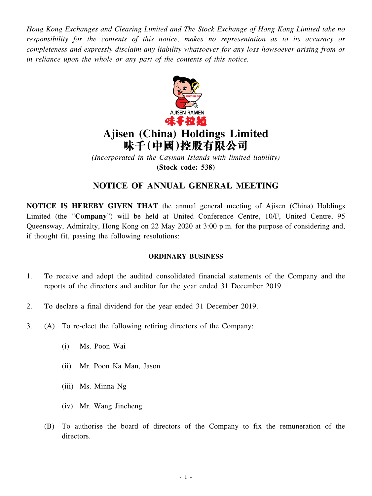*Hong Kong Exchanges and Clearing Limited and The Stock Exchange of Hong Kong Limited take no responsibility for the contents of this notice, makes no representation as to its accuracy or completeness and expressly disclaim any liability whatsoever for any loss howsoever arising from or in reliance upon the whole or any part of the contents of this notice.*



## **Ajisen (China) Holdings Limited** 味千(中國)控股有限公司

*(Incorporated in the Cayman Islands with limited liability)* **(Stock code: 538)**

## **NOTICE OF ANNUAL GENERAL MEETING**

**NOTICE IS HEREBY GIVEN THAT** the annual general meeting of Ajisen (China) Holdings Limited (the "**Company**") will be held at United Conference Centre, 10/F, United Centre, 95 Queensway, Admiralty, Hong Kong on 22 May 2020 at 3:00 p.m. for the purpose of considering and, if thought fit, passing the following resolutions:

## **ORDINARY BUSINESS**

- 1. To receive and adopt the audited consolidated financial statements of the Company and the reports of the directors and auditor for the year ended 31 December 2019.
- 2. To declare a final dividend for the year ended 31 December 2019.
- 3. (A) To re-elect the following retiring directors of the Company:
	- (i) Ms. Poon Wai
	- (ii) Mr. Poon Ka Man, Jason
	- (iii) Ms. Minna Ng
	- (iv) Mr. Wang Jincheng
	- (B) To authorise the board of directors of the Company to fix the remuneration of the directors.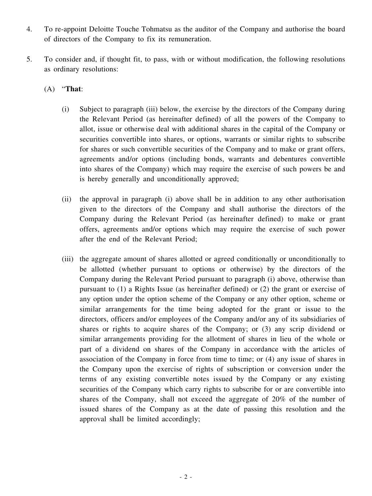- 4. To re-appoint Deloitte Touche Tohmatsu as the auditor of the Company and authorise the board of directors of the Company to fix its remuneration.
- 5. To consider and, if thought fit, to pass, with or without modification, the following resolutions as ordinary resolutions:
	- (A) "**That**:
		- (i) Subject to paragraph (iii) below, the exercise by the directors of the Company during the Relevant Period (as hereinafter defined) of all the powers of the Company to allot, issue or otherwise deal with additional shares in the capital of the Company or securities convertible into shares, or options, warrants or similar rights to subscribe for shares or such convertible securities of the Company and to make or grant offers, agreements and/or options (including bonds, warrants and debentures convertible into shares of the Company) which may require the exercise of such powers be and is hereby generally and unconditionally approved;
		- (ii) the approval in paragraph (i) above shall be in addition to any other authorisation given to the directors of the Company and shall authorise the directors of the Company during the Relevant Period (as hereinafter defined) to make or grant offers, agreements and/or options which may require the exercise of such power after the end of the Relevant Period;
		- (iii) the aggregate amount of shares allotted or agreed conditionally or unconditionally to be allotted (whether pursuant to options or otherwise) by the directors of the Company during the Relevant Period pursuant to paragraph (i) above, otherwise than pursuant to (1) a Rights Issue (as hereinafter defined) or (2) the grant or exercise of any option under the option scheme of the Company or any other option, scheme or similar arrangements for the time being adopted for the grant or issue to the directors, officers and/or employees of the Company and/or any of its subsidiaries of shares or rights to acquire shares of the Company; or (3) any scrip dividend or similar arrangements providing for the allotment of shares in lieu of the whole or part of a dividend on shares of the Company in accordance with the articles of association of the Company in force from time to time; or (4) any issue of shares in the Company upon the exercise of rights of subscription or conversion under the terms of any existing convertible notes issued by the Company or any existing securities of the Company which carry rights to subscribe for or are convertible into shares of the Company, shall not exceed the aggregate of 20% of the number of issued shares of the Company as at the date of passing this resolution and the approval shall be limited accordingly;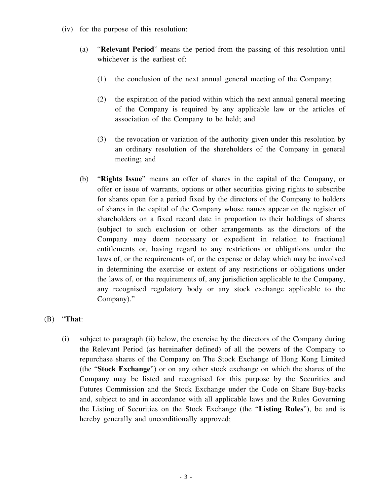- (iv) for the purpose of this resolution:
	- (a) "**Relevant Period**" means the period from the passing of this resolution until whichever is the earliest of:
		- (1) the conclusion of the next annual general meeting of the Company;
		- (2) the expiration of the period within which the next annual general meeting of the Company is required by any applicable law or the articles of association of the Company to be held; and
		- (3) the revocation or variation of the authority given under this resolution by an ordinary resolution of the shareholders of the Company in general meeting; and
	- (b) "**Rights Issue**" means an offer of shares in the capital of the Company, or offer or issue of warrants, options or other securities giving rights to subscribe for shares open for a period fixed by the directors of the Company to holders of shares in the capital of the Company whose names appear on the register of shareholders on a fixed record date in proportion to their holdings of shares (subject to such exclusion or other arrangements as the directors of the Company may deem necessary or expedient in relation to fractional entitlements or, having regard to any restrictions or obligations under the laws of, or the requirements of, or the expense or delay which may be involved in determining the exercise or extent of any restrictions or obligations under the laws of, or the requirements of, any jurisdiction applicable to the Company, any recognised regulatory body or any stock exchange applicable to the Company)."

## (B) "**That**:

(i) subject to paragraph (ii) below, the exercise by the directors of the Company during the Relevant Period (as hereinafter defined) of all the powers of the Company to repurchase shares of the Company on The Stock Exchange of Hong Kong Limited (the "**Stock Exchange**") or on any other stock exchange on which the shares of the Company may be listed and recognised for this purpose by the Securities and Futures Commission and the Stock Exchange under the Code on Share Buy-backs and, subject to and in accordance with all applicable laws and the Rules Governing the Listing of Securities on the Stock Exchange (the "**Listing Rules**"), be and is hereby generally and unconditionally approved;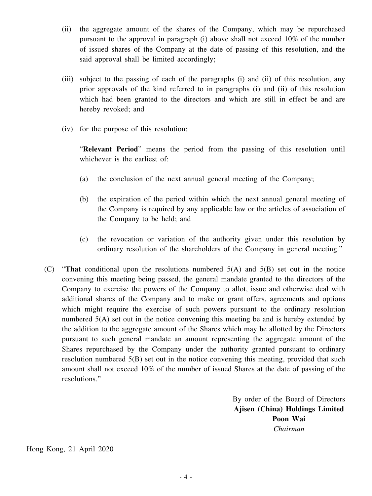- (ii) the aggregate amount of the shares of the Company, which may be repurchased pursuant to the approval in paragraph (i) above shall not exceed 10% of the number of issued shares of the Company at the date of passing of this resolution, and the said approval shall be limited accordingly;
- (iii) subject to the passing of each of the paragraphs (i) and (ii) of this resolution, any prior approvals of the kind referred to in paragraphs (i) and (ii) of this resolution which had been granted to the directors and which are still in effect be and are hereby revoked; and
- (iv) for the purpose of this resolution:

"**Relevant Period**" means the period from the passing of this resolution until whichever is the earliest of:

- (a) the conclusion of the next annual general meeting of the Company;
- (b) the expiration of the period within which the next annual general meeting of the Company is required by any applicable law or the articles of association of the Company to be held; and
- (c) the revocation or variation of the authority given under this resolution by ordinary resolution of the shareholders of the Company in general meeting."
- (C) "**That** conditional upon the resolutions numbered 5(A) and 5(B) set out in the notice convening this meeting being passed, the general mandate granted to the directors of the Company to exercise the powers of the Company to allot, issue and otherwise deal with additional shares of the Company and to make or grant offers, agreements and options which might require the exercise of such powers pursuant to the ordinary resolution numbered 5(A) set out in the notice convening this meeting be and is hereby extended by the addition to the aggregate amount of the Shares which may be allotted by the Directors pursuant to such general mandate an amount representing the aggregate amount of the Shares repurchased by the Company under the authority granted pursuant to ordinary resolution numbered 5(B) set out in the notice convening this meeting, provided that such amount shall not exceed 10% of the number of issued Shares at the date of passing of the resolutions."

By order of the Board of Directors **Ajisen (China) Holdings Limited Poon Wai** *Chairman*

Hong Kong, 21 April 2020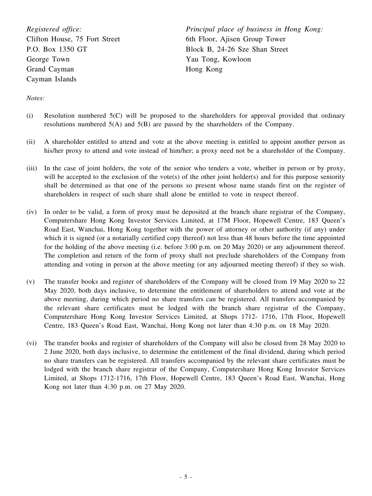*Registered office:* Clifton House, 75 Fort Street P.O. Box 1350 GT George Town Grand Cayman Cayman Islands

*Principal place of business in Hong Kong:* 6th Floor, Ajisen Group Tower Block B, 24-26 Sze Shan Street Yau Tong, Kowloon Hong Kong

*Notes:*

- (i) Resolution numbered 5(C) will be proposed to the shareholders for approval provided that ordinary resolutions numbered 5(A) and 5(B) are passed by the shareholders of the Company.
- (ii) A shareholder entitled to attend and vote at the above meeting is entitled to appoint another person as his/her proxy to attend and vote instead of him/her; a proxy need not be a shareholder of the Company.
- (iii) In the case of joint holders, the vote of the senior who tenders a vote, whether in person or by proxy, will be accepted to the exclusion of the vote(s) of the other joint holder(s) and for this purpose seniority shall be determined as that one of the persons so present whose name stands first on the register of shareholders in respect of such share shall alone be entitled to vote in respect thereof.
- (iv) In order to be valid, a form of proxy must be deposited at the branch share registrar of the Company, Computershare Hong Kong Investor Services Limited, at 17M Floor, Hopewell Centre, 183 Queen's Road East, Wanchai, Hong Kong together with the power of attorney or other authority (if any) under which it is signed (or a notarially certified copy thereof) not less than 48 hours before the time appointed for the holding of the above meeting (i.e. before 3:00 p.m. on 20 May 2020) or any adjournment thereof. The completion and return of the form of proxy shall not preclude shareholders of the Company from attending and voting in person at the above meeting (or any adjourned meeting thereof) if they so wish.
- (v) The transfer books and register of shareholders of the Company will be closed from 19 May 2020 to 22 May 2020, both days inclusive, to determine the entitlement of shareholders to attend and vote at the above meeting, during which period no share transfers can be registered. All transfers accompanied by the relevant share certificates must be lodged with the branch share registrar of the Company, Computershare Hong Kong Investor Services Limited, at Shops 1712- 1716, 17th Floor, Hopewell Centre, 183 Queen's Road East, Wanchai, Hong Kong not later than 4:30 p.m. on 18 May 2020.
- (vi) The transfer books and register of shareholders of the Company will also be closed from 28 May 2020 to 2 June 2020, both days inclusive, to determine the entitlement of the final dividend, during which period no share transfers can be registered. All transfers accompanied by the relevant share certificates must be lodged with the branch share registrar of the Company, Computershare Hong Kong Investor Services Limited, at Shops 1712-1716, 17th Floor, Hopewell Centre, 183 Queen's Road East, Wanchai, Hong Kong not later than 4:30 p.m. on 27 May 2020.